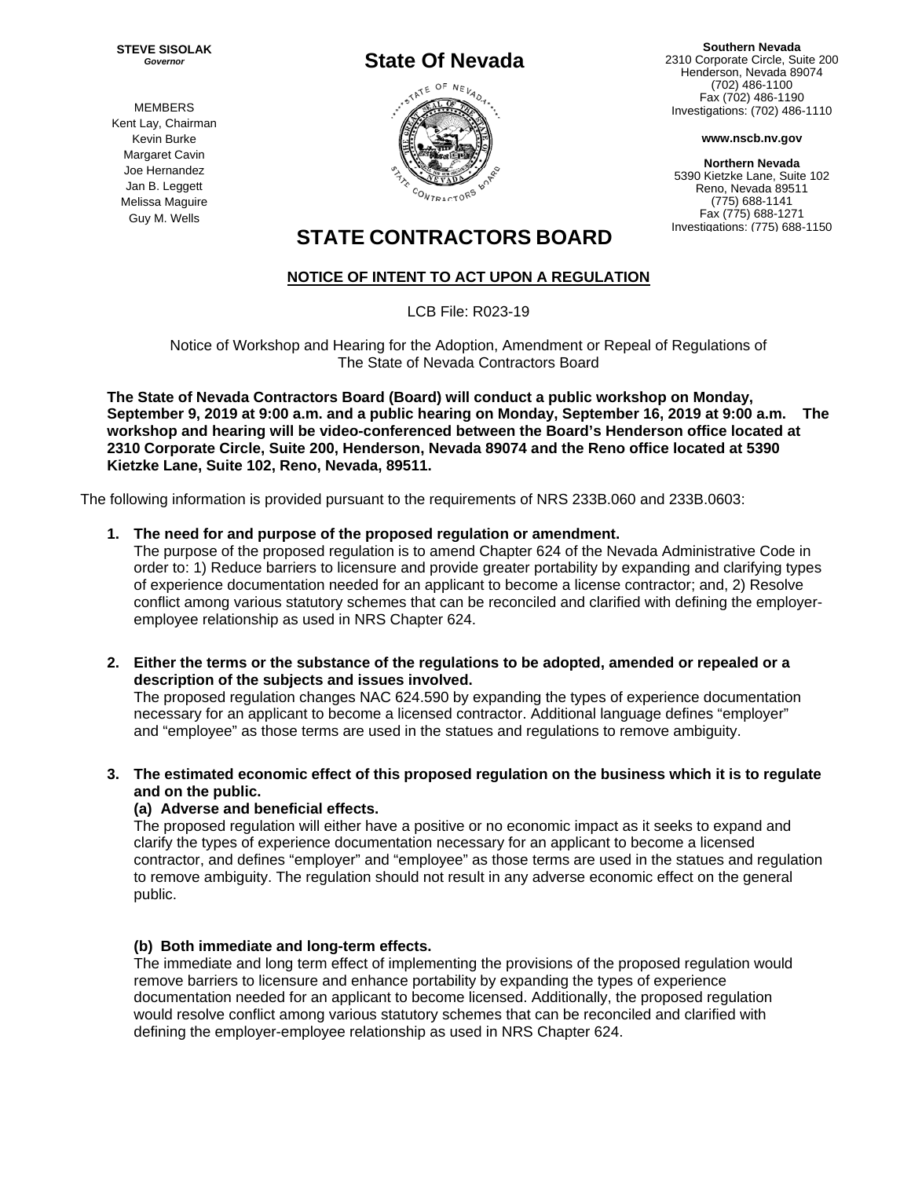**STEVE SISOLAK**  *Governor* 

# **State Of Nevada**



**Southern Nevada**  2310 Corporate Circle, Suite 200 Henderson, Nevada 89074 (702) 486-1100 Fax (702) 486-1190 Investigations: (702) 486-1110

**www.nscb.nv.gov**

**Northern Nevada**  5390 Kietzke Lane, Suite 102 Reno, Nevada 89511 (775) 688-1141 Fax (775) 688-1271 Investigations: (775) 688-1150

## **STATE CONTRACTORS BOARD**

### **NOTICE OF INTENT TO ACT UPON A REGULATION**

LCB File: R023-19

Notice of Workshop and Hearing for the Adoption, Amendment or Repeal of Regulations of The State of Nevada Contractors Board

**The State of Nevada Contractors Board (Board) will conduct a public workshop on Monday, September 9, 2019 at 9:00 a.m. and a public hearing on Monday, September 16, 2019 at 9:00 a.m. The workshop and hearing will be video-conferenced between the Board's Henderson office located at 2310 Corporate Circle, Suite 200, Henderson, Nevada 89074 and the Reno office located at 5390 Kietzke Lane, Suite 102, Reno, Nevada, 89511.** 

The following information is provided pursuant to the requirements of NRS 233B.060 and 233B.0603:

#### **1. The need for and purpose of the proposed regulation or amendment.**

The purpose of the proposed regulation is to amend Chapter 624 of the Nevada Administrative Code in order to: 1) Reduce barriers to licensure and provide greater portability by expanding and clarifying types of experience documentation needed for an applicant to become a license contractor; and, 2) Resolve conflict among various statutory schemes that can be reconciled and clarified with defining the employeremployee relationship as used in NRS Chapter 624.

**2. Either the terms or the substance of the regulations to be adopted, amended or repealed or a description of the subjects and issues involved.** 

The proposed regulation changes NAC 624.590 by expanding the types of experience documentation necessary for an applicant to become a licensed contractor. Additional language defines "employer" and "employee" as those terms are used in the statues and regulations to remove ambiguity.

**3. The estimated economic effect of this proposed regulation on the business which it is to regulate and on the public.**

#### **(a) Adverse and beneficial effects.**

The proposed regulation will either have a positive or no economic impact as it seeks to expand and clarify the types of experience documentation necessary for an applicant to become a licensed contractor, and defines "employer" and "employee" as those terms are used in the statues and regulation to remove ambiguity. The regulation should not result in any adverse economic effect on the general public.

#### **(b) Both immediate and long-term effects.**

The immediate and long term effect of implementing the provisions of the proposed regulation would remove barriers to licensure and enhance portability by expanding the types of experience documentation needed for an applicant to become licensed. Additionally, the proposed regulation would resolve conflict among various statutory schemes that can be reconciled and clarified with defining the employer-employee relationship as used in NRS Chapter 624.

MEMBERS Kent Lay, Chairman Kevin Burke Margaret Cavin Joe Hernandez Jan B. Leggett Melissa Maguire Guy M. Wells